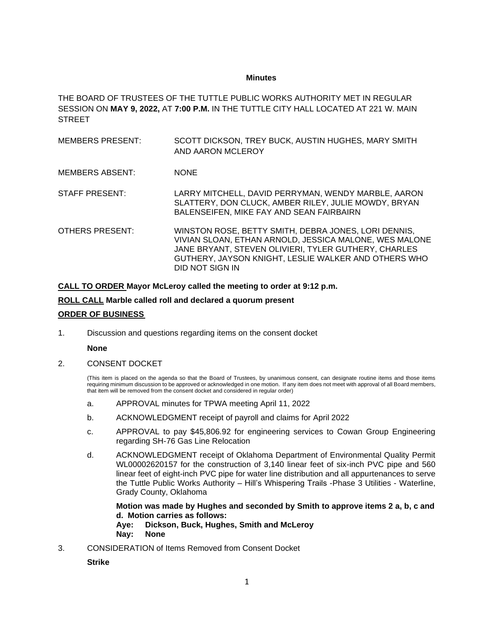## **Minutes**

THE BOARD OF TRUSTEES OF THE TUTTLE PUBLIC WORKS AUTHORITY MET IN REGULAR SESSION ON **MAY 9, 2022,** AT **7:00 P.M.** IN THE TUTTLE CITY HALL LOCATED AT 221 W. MAIN **STREET** 

- MEMBERS PRESENT: SCOTT DICKSON, TREY BUCK, AUSTIN HUGHES, MARY SMITH AND AARON MCLEROY
- MEMBERS ABSENT: NONE
- STAFF PRESENT: LARRY MITCHELL, DAVID PERRYMAN, WENDY MARBLE, AARON SLATTERY, DON CLUCK, AMBER RILEY, JULIE MOWDY, BRYAN BALENSEIFEN, MIKE FAY AND SEAN FAIRBAIRN
- OTHERS PRESENT: WINSTON ROSE, BETTY SMITH, DEBRA JONES, LORI DENNIS, VIVIAN SLOAN, ETHAN ARNOLD, JESSICA MALONE, WES MALONE JANE BRYANT, STEVEN OLIVIERI, TYLER GUTHERY, CHARLES GUTHERY, JAYSON KNIGHT, LESLIE WALKER AND OTHERS WHO DID NOT SIGN IN

**CALL TO ORDER Mayor McLeroy called the meeting to order at 9:12 p.m.**

**ROLL CALL Marble called roll and declared a quorum present ORDER OF BUSINESS**

1. Discussion and questions regarding items on the consent docket

## **None**

2. CONSENT DOCKET

(This item is placed on the agenda so that the Board of Trustees, by unanimous consent, can designate routine items and those items requiring minimum discussion to be approved or acknowledged in one motion. If any item does not meet with approval of all Board members, that item will be removed from the consent docket and considered in regular order)

- a. APPROVAL minutes for TPWA meeting April 11, 2022
- b. ACKNOWLEDGMENT receipt of payroll and claims for April 2022
- c. APPROVAL to pay \$45,806.92 for engineering services to Cowan Group Engineering regarding SH-76 Gas Line Relocation
- d. ACKNOWLEDGMENT receipt of Oklahoma Department of Environmental Quality Permit WL00002620157 for the construction of 3,140 linear feet of six-inch PVC pipe and 560 linear feet of eight-inch PVC pipe for water line distribution and all appurtenances to serve the Tuttle Public Works Authority – Hill's Whispering Trails -Phase 3 Utilities - Waterline, Grady County, Oklahoma

**Motion was made by Hughes and seconded by Smith to approve items 2 a, b, c and d. Motion carries as follows: Aye: Dickson, Buck, Hughes, Smith and McLeroy Nay: None**

3. CONSIDERATION of Items Removed from Consent Docket

## **Strike**